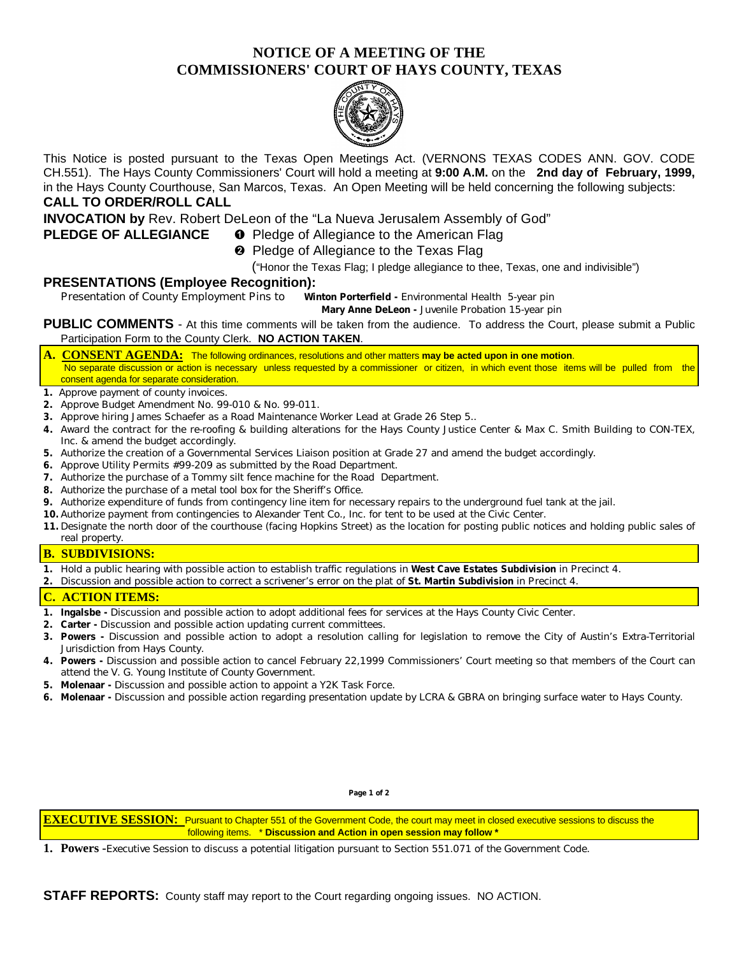# **NOTICE OF A MEETING OF THE COMMISSIONERS' COURT OF HAYS COUNTY, TEXAS**



This Notice is posted pursuant to the Texas Open Meetings Act. (VERNONS TEXAS CODES ANN. GOV. CODE CH.551). The Hays County Commissioners' Court will hold a meeting at **9:00 A.M.** on the **2nd day of February, 1999,** in the Hays County Courthouse, San Marcos, Texas. An Open Meeting will be held concerning the following subjects: **CALL TO ORDER/ROLL CALL**

**INVOCATION by** Rev. Robert DeLeon of the "La Nueva Jerusalem Assembly of God"

## **PLEDGE OF ALLEGIANCE O** Pledge of Allegiance to the American Flag

**<sup>2</sup>** Pledge of Allegiance to the Texas Flag

("Honor the Texas Flag; I pledge allegiance to thee, Texas, one and indivisible")

## **PRESENTATIONS (Employee Recognition):**

Presentation of County Employment Pins to **Winton Porterfield -** Environmental Health 5-year pin

**Mary Anne DeLeon -** Juvenile Probation 15-year pin

**PUBLIC COMMENTS** - At this time comments will be taken from the audience. To address the Court, please submit a Public Participation Form to the County Clerk. **NO ACTION TAKEN**.

- **A. CONSENT AGENDA:** The following ordinances, resolutions and other matters **may be acted upon in one motion**. No separate discussion or action is necessary unless requested by a commissioner or citizen, in which event those items will be pulled from the consent agenda for separate consideration.
- **1.** Approve payment of county invoices.
- **2.** Approve Budget Amendment No. 99-010 & No. 99-011.
- **3.** Approve hiring James Schaefer as a Road Maintenance Worker Lead at Grade 26 Step 5..
- **4.** Award the contract for the re-roofing & building alterations for the Hays County Justice Center & Max C. Smith Building to CON-TEX, Inc. & amend the budget accordingly.
- **5.** Authorize the creation of a Governmental Services Liaison position at Grade 27 and amend the budget accordingly.
- **6.** Approve Utility Permits #99-209 as submitted by the Road Department.
- **7.** Authorize the purchase of a Tommy silt fence machine for the Road Department.
- **8.** Authorize the purchase of a metal tool box for the Sheriff's Office.
- **9.** Authorize expenditure of funds from contingency line item for necessary repairs to the underground fuel tank at the jail.
- **10.** Authorize payment from contingencies to Alexander Tent Co., Inc. for tent to be used at the Civic Center.
- **11.** Designate the north door of the courthouse (facing Hopkins Street) as the location for posting public notices and holding public sales of real property.

#### **B. SUBDIVISIONS:**

- **1.** Hold a public hearing with possible action to establish traffic regulations in **West Cave Estates Subdivision** in Precinct 4.
- **2.** Discussion and possible action to correct a scrivener's error on the plat of **St. Martin Subdivision** in Precinct 4.

#### **C. ACTION ITEMS:**

- **1. Ingalsbe -** Discussion and possible action to adopt additional fees for services at the Hays County Civic Center.
- **2. Carter -** Discussion and possible action updating current committees.
- **3. Powers -** Discussion and possible action to adopt a resolution calling for legislation to remove the City of Austin's Extra-Territorial Jurisdiction from Hays County.
- **4. Powers -** Discussion and possible action to cancel February 22,1999 Commissioners' Court meeting so that members of the Court can attend the V. G. Young Institute of County Government.
- **5. Molenaar** Discussion and possible action to appoint a Y2K Task Force.
- **6. Molenaar -** Discussion and possible action regarding presentation update by LCRA & GBRA on bringing surface water to Hays County.

**Page 1 of 2**

**EXECUTIVE SESSION:** Pursuant to Chapter 551 of the Government Code, the court may meet in closed executive sessions to discuss the following items. \* **Discussion and Action in open session may follow \***

**1. Powers -**Executive Session to discuss a potential litigation pursuant to Section 551.071 of the Government Code.

**STAFF REPORTS:** County staff may report to the Court regarding ongoing issues. NO ACTION.